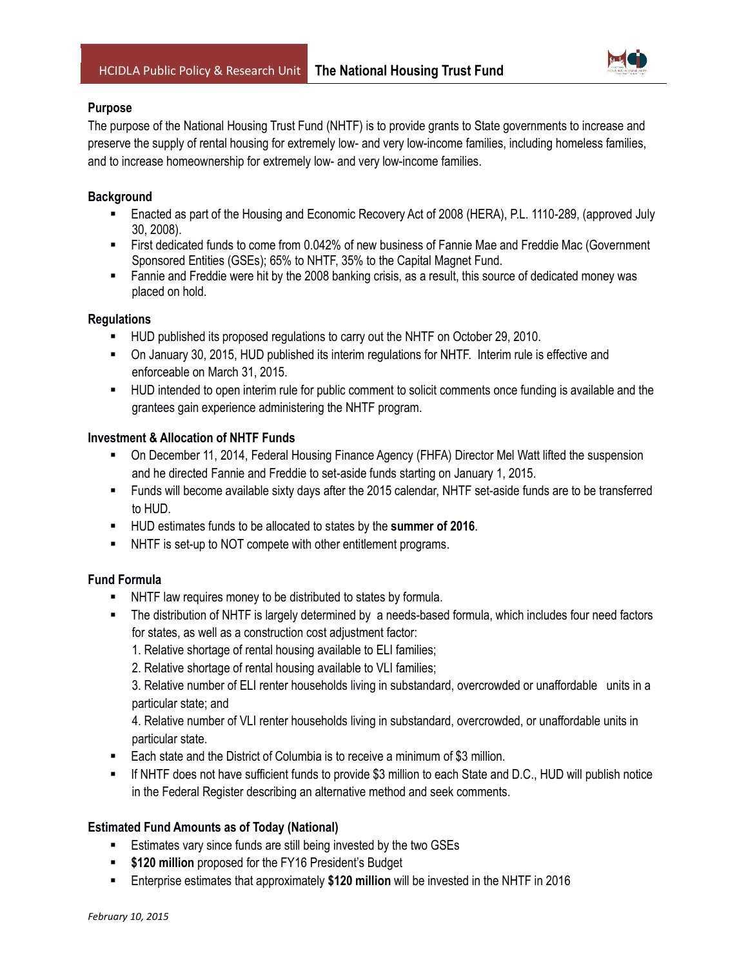

### **Purpose**

The purpose of the National Housing Trust Fund (NHTF) is to provide grants to State governments to increase and preserve the supply of rental housing for extremely low- and very low-income families, including homeless families, and to increase homeownership for extremely low- and very low-income families.

# **Background**

- Enacted as part of the Housing and Economic Recovery Act of 2008 (HERA), P.L. 1110-289, (approved July 30, 2008).
- First dedicated funds to come from 0.042% of new business of Fannie Mae and Freddie Mac (Government Sponsored Entities (GSEs); 65% to NHTF, 35% to the Capital Magnet Fund.
- Fannie and Freddie were hit by the 2008 banking crisis, as a result, this source of dedicated money was placed on hold.

### **Regulations**

- HUD published its proposed regulations to carry out the NHTF on October 29, 2010.
- On January 30, 2015, HUD published its interim regulations for NHTF. Interim rule is effective and enforceable on March 31, 2015.
- HUD intended to open interim rule for public comment to solicit comments once funding is available and the grantees gain experience administering the NHTF program.

### **Investment & Allocation of NHTF Funds**

- On December 11, 2014, Federal Housing Finance Agency (FHFA) Director Mel Watt lifted the suspension and he directed Fannie and Freddie to set-aside funds starting on January 1, 2015.
- Funds will become available sixty days after the 2015 calendar, NHTF set-aside funds are to be transferred to HUD.
- HUD estimates funds to be allocated to states by the **summer of 2016**.
- NHTF is set-up to NOT compete with other entitlement programs.

## **Fund Formula**

- NHTF law requires money to be distributed to states by formula.
- The distribution of NHTF is largely determined by a needs-based formula, which includes four need factors for states, as well as a construction cost adjustment factor:
	- 1. Relative shortage of rental housing available to ELI families;
	- 2. Relative shortage of rental housing available to VLI families;

3. Relative number of ELI renter households living in substandard, overcrowded or unaffordable units in a particular state; and

4. Relative number of VLI renter households living in substandard, overcrowded, or unaffordable units in particular state.

- Each state and the District of Columbia is to receive a minimum of \$3 million.
- If NHTF does not have sufficient funds to provide \$3 million to each State and D.C., HUD will publish notice in the Federal Register describing an alternative method and seek comments.

### **Estimated Fund Amounts as of Today (National)**

- **Estimates vary since funds are still being invested by the two GSEs**
- **\$120 million** proposed for the FY16 President's Budget
- Enterprise estimates that approximately **\$120 million** will be invested in the NHTF in 2016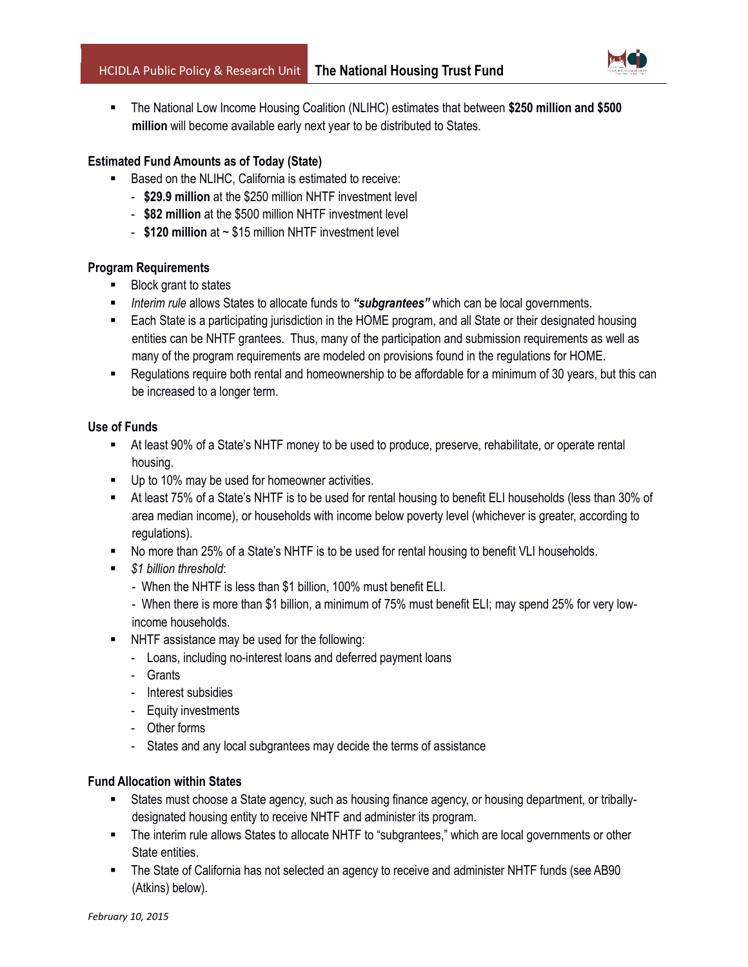

 The National Low Income Housing Coalition (NLIHC) estimates that between **\$250 million and \$500 million** will become available early next year to be distributed to States.

### **Estimated Fund Amounts as of Today (State)**

- Based on the NLIHC, California is estimated to receive:
	- **\$29.9 million** at the \$250 million NHTF investment level
	- **\$82 million** at the \$500 million NHTF investment level
	- **\$120 million** at ~ \$15 million NHTF investment level

#### **Program Requirements**

- Block grant to states
- *Interim rule* allows States to allocate funds to *"subgrantees"* which can be local governments.
- Each State is a participating jurisdiction in the HOME program, and all State or their designated housing entities can be NHTF grantees. Thus, many of the participation and submission requirements as well as many of the program requirements are modeled on provisions found in the regulations for HOME.
- Regulations require both rental and homeownership to be affordable for a minimum of 30 years, but this can be increased to a longer term.

#### **Use of Funds**

- At least 90% of a State's NHTF money to be used to produce, preserve, rehabilitate, or operate rental housing.
- Up to 10% may be used for homeowner activities.
- At least 75% of a State's NHTF is to be used for rental housing to benefit ELI households (less than 30% of area median income), or households with income below poverty level (whichever is greater, according to regulations).
- No more than 25% of a State's NHTF is to be used for rental housing to benefit VLI households.
- *\$1 billion threshold*:
	- When the NHTF is less than \$1 billion, 100% must benefit ELI.
	- When there is more than \$1 billion, a minimum of 75% must benefit ELI; may spend 25% for very lowincome households.
- NHTF assistance may be used for the following:
	- Loans, including no-interest loans and deferred payment loans
	- Grants
	- Interest subsidies
	- Equity investments
	- Other forms
	- States and any local subgrantees may decide the terms of assistance

# **Fund Allocation within States**

- States must choose a State agency, such as housing finance agency, or housing department, or triballydesignated housing entity to receive NHTF and administer its program.
- The interim rule allows States to allocate NHTF to "subgrantees," which are local governments or other State entities.
- The State of California has not selected an agency to receive and administer NHTF funds (see AB90 (Atkins) below).